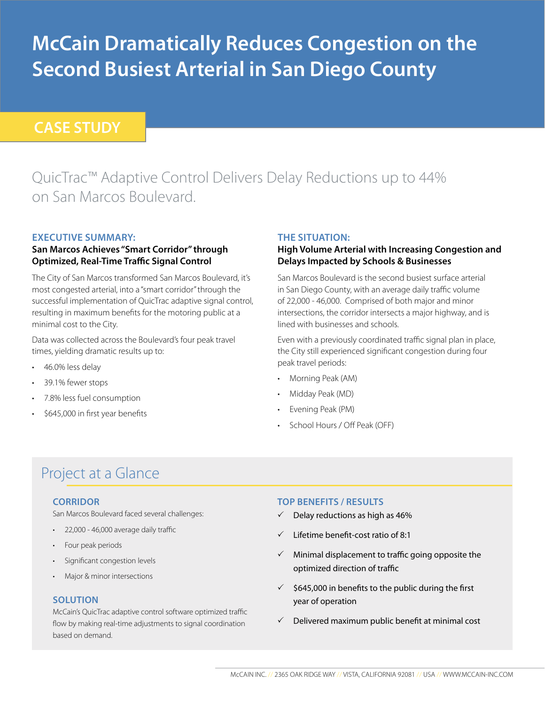# **McCain Dramatically Reduces Congestion on the Second Busiest Arterial in San Diego County**

# **CASE STUDY**

# QuicTrac™ Adaptive Control Delivers Delay Reductions up to 44% on San Marcos Boulevard.

### **Executive Summary:**

#### **San Marcos Achieves "Smart Corridor" through Optimized, Real-Time Traffic Signal Control**

The City of San Marcos transformed San Marcos Boulevard, it's most congested arterial, into a "smart corridor" through the successful implementation of QuicTrac adaptive signal control, resulting in maximum benefits for the motoring public at a minimal cost to the City.

Data was collected across the Boulevard's four peak travel times, yielding dramatic results up to:

- 46.0% less delay
- 39.1% fewer stops
- 7.8% less fuel consumption
- \$645,000 in first year benefits

#### **The Situation:**

#### **High Volume Arterial with Increasing Congestion and Delays Impacted by Schools & Businesses**

San Marcos Boulevard is the second busiest surface arterial in San Diego County, with an average daily traffic volume of 22,000 - 46,000. Comprised of both major and minor intersections, the corridor intersects a major highway, and is lined with businesses and schools.

Even with a previously coordinated traffic signal plan in place, the City still experienced significant congestion during four peak travel periods:

- • Morning Peak (AM)
- Midday Peak (MD)
- Evening Peak (PM)
- School Hours / Off Peak (OFF)

# Project at a Glance

#### **Corridor**

San Marcos Boulevard faced several challenges:

- • 22,000 46,000 average daily traffic
- Four peak periods
- • Significant congestion levels
- • Major & minor intersections

#### **SOLUTION**

McCain's QuicTrac adaptive control software optimized traffic flow by making real-time adjustments to signal coordination based on demand.

#### **Top Benefits / Results**

- $\checkmark$  Delay reductions as high as 46%
- 3 Lifetime benefit-cost ratio of 8:1
- $\checkmark$  Minimal displacement to traffic going opposite the optimized direction of traffic
- $\checkmark$  \$645,000 in benefits to the public during the first year of operation
- $\checkmark$  Delivered maximum public benefit at minimal cost